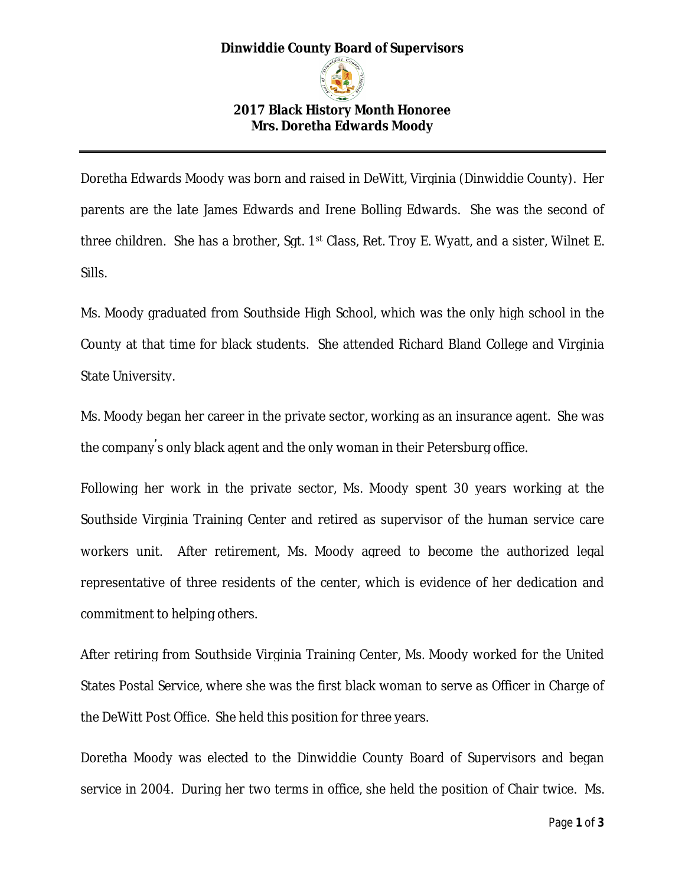#### **Dinwiddie County Board of Supervisors**



## **2017 Black History Month Honoree Mrs. Doretha Edwards Moody**

Doretha Edwards Moody was born and raised in DeWitt, Virginia (Dinwiddie County). Her parents are the late James Edwards and Irene Bolling Edwards. She was the second of three children. She has a brother, Sgt. 1<sup>st</sup> Class, Ret. Troy E. Wyatt, and a sister, Wilnet E. Sills.

Ms. Moody graduated from Southside High School, which was the only high school in the County at that time for black students. She attended Richard Bland College and Virginia State University.

Ms. Moody began her career in the private sector, working as an insurance agent. She was the company's only black agent and the only woman in their Petersburg office.

Following her work in the private sector, Ms. Moody spent 30 years working at the Southside Virginia Training Center and retired as supervisor of the human service care workers unit. After retirement, Ms. Moody agreed to become the authorized legal representative of three residents of the center, which is evidence of her dedication and commitment to helping others.

After retiring from Southside Virginia Training Center, Ms. Moody worked for the United States Postal Service, where she was the first black woman to serve as Officer in Charge of the DeWitt Post Office. She held this position for three years.

Doretha Moody was elected to the Dinwiddie County Board of Supervisors and began service in 2004. During her two terms in office, she held the position of Chair twice. Ms.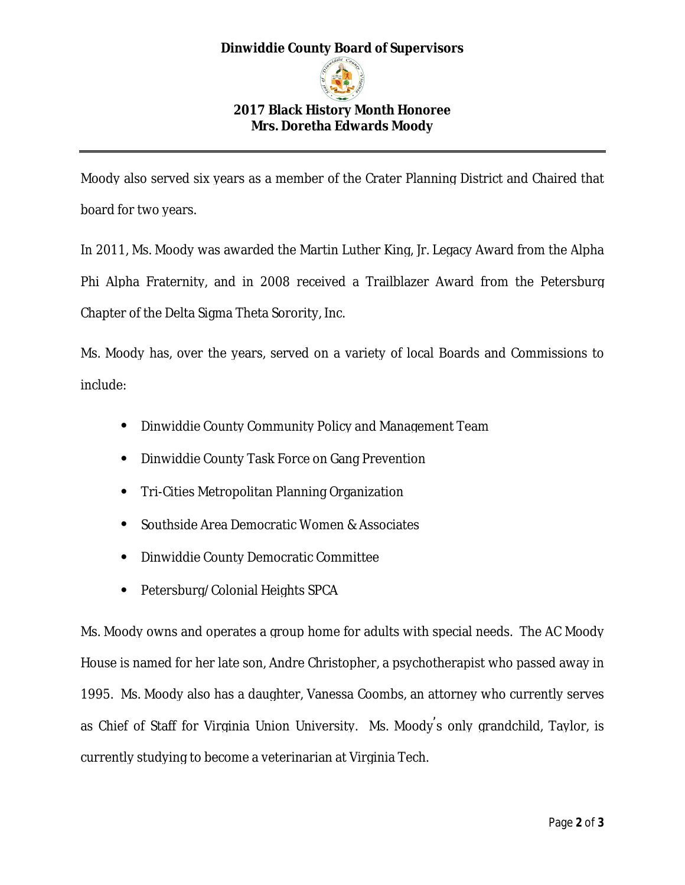## **Dinwiddie County Board of Supervisors**



## **2017 Black History Month Honoree Mrs. Doretha Edwards Moody**

Moody also served six years as a member of the Crater Planning District and Chaired that board for two years.

In 2011, Ms. Moody was awarded the Martin Luther King, Jr. Legacy Award from the Alpha Phi Alpha Fraternity, and in 2008 received a Trailblazer Award from the Petersburg Chapter of the Delta Sigma Theta Sorority, Inc.

Ms. Moody has, over the years, served on a variety of local Boards and Commissions to include:

- Dinwiddie County Community Policy and Management Team
- Dinwiddie County Task Force on Gang Prevention
- Tri-Cities Metropolitan Planning Organization
- Southside Area Democratic Women & Associates
- Dinwiddie County Democratic Committee
- Petersburg/Colonial Heights SPCA

Ms. Moody owns and operates a group home for adults with special needs. The AC Moody House is named for her late son, Andre Christopher, a psychotherapist who passed away in 1995. Ms. Moody also has a daughter, Vanessa Coombs, an attorney who currently serves as Chief of Staff for Virginia Union University. Ms. Moody's only grandchild, Taylor, is currently studying to become a veterinarian at Virginia Tech.